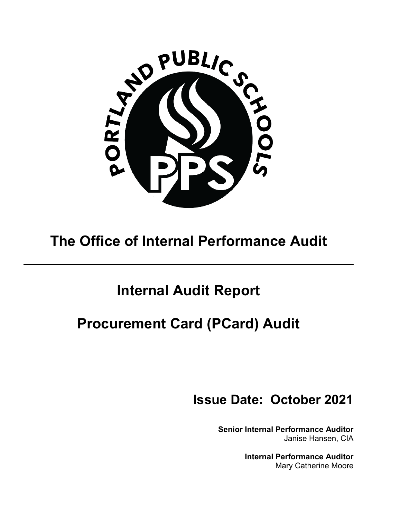

# **The Office of Internal Performance Audit**

# **Internal Audit Report**

# **Procurement Card (PCard) Audit**

# **Issue Date: October 2021**

**Senior Internal Performance Auditor** Janise Hansen, CIA

> **Internal Performance Auditor** Mary Catherine Moore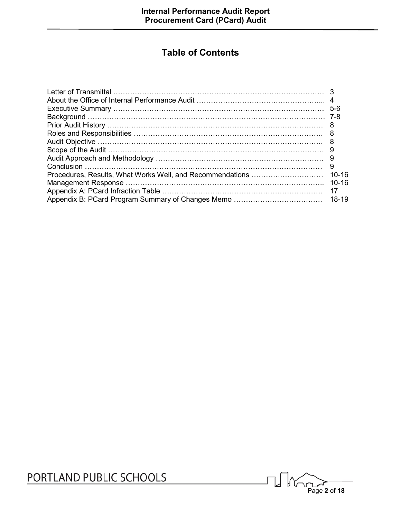# **Table of Contents**

|                                                           | 5-6       |
|-----------------------------------------------------------|-----------|
|                                                           |           |
|                                                           |           |
|                                                           |           |
|                                                           |           |
|                                                           |           |
|                                                           |           |
|                                                           |           |
| Procedures, Results, What Works Well, and Recommendations | $10 - 16$ |
|                                                           | $10 - 16$ |
|                                                           | 17        |
|                                                           |           |

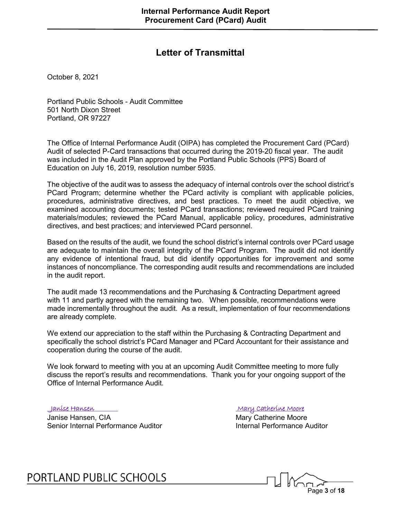## **Letter of Transmittal**

October 8, 2021

Portland Public Schools - Audit Committee 501 North Dixon Street Portland, OR 97227

The Office of Internal Performance Audit (OIPA) has completed the Procurement Card (PCard) Audit of selected P-Card transactions that occurred during the 2019-20 fiscal year. The audit was included in the Audit Plan approved by the Portland Public Schools (PPS) Board of Education on July 16, 2019, resolution number 5935.

The objective of the audit was to assess the adequacy of internal controls over the school district's PCard Program; determine whether the PCard activity is compliant with applicable policies, procedures, administrative directives, and best practices. To meet the audit objective, we examined accounting documents; tested PCard transactions; reviewed required PCard training materials/modules; reviewed the PCard Manual, applicable policy, procedures, administrative directives, and best practices; and interviewed PCard personnel.

Based on the results of the audit, we found the school district's internal controls over PCard usage are adequate to maintain the overall integrity of the PCard Program. The audit did not identify any evidence of intentional fraud, but did identify opportunities for improvement and some instances of noncompliance. The corresponding audit results and recommendations are included in the audit report.

The audit made 13 recommendations and the Purchasing & Contracting Department agreed with 11 and partly agreed with the remaining two. When possible, recommendations were made incrementally throughout the audit. As a result, implementation of four recommendations are already complete.

We extend our appreciation to the staff within the Purchasing & Contracting Department and specifically the school district's PCard Manager and PCard Accountant for their assistance and cooperation during the course of the audit.

We look forward to meeting with you at an upcoming Audit Committee meeting to more fully discuss the report's results and recommendations. Thank you for your ongoing support of the Office of Internal Performance Audit.

 Janise Hansen Mary Catherine Moore Janise Hansen, CIA<br>
Senior Internal Performance Auditor<br>
Mary Catherine Moore<br>
Internal Performance Auditor<br>
Internal Performance Auditor Senior Internal Performance Auditor

PORTLAND PUBLIC SCHOOLS

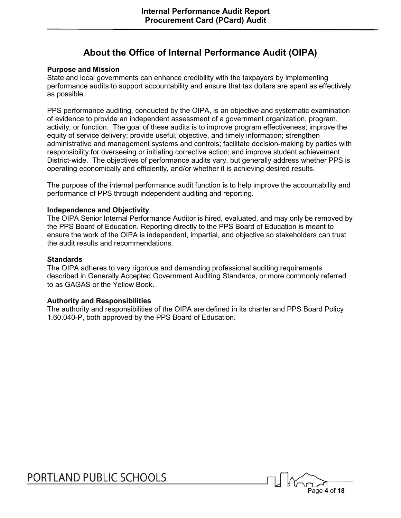## **About the Office of Internal Performance Audit (OIPA)**

#### **Purpose and Mission**

State and local governments can enhance credibility with the taxpayers by implementing performance audits to support accountability and ensure that tax dollars are spent as effectively as possible.

PPS performance auditing, conducted by the OIPA, is an objective and systematic examination of evidence to provide an independent assessment of a government organization, program, activity, or function. The goal of these audits is to improve program effectiveness; improve the equity of service delivery; provide useful, objective, and timely information; strengthen administrative and management systems and controls; facilitate decision-making by parties with responsibility for overseeing or initiating corrective action; and improve student achievement District-wide. The objectives of performance audits vary, but generally address whether PPS is operating economically and efficiently, and/or whether it is achieving desired results.

The purpose of the internal performance audit function is to help improve the accountability and performance of PPS through independent auditing and reporting.

#### **Independence and Objectivity**

The OIPA Senior Internal Performance Auditor is hired, evaluated, and may only be removed by the PPS Board of Education. Reporting directly to the PPS Board of Education is meant to ensure the work of the OIPA is independent, impartial, and objective so stakeholders can trust the audit results and recommendations.

#### **Standards**

The OIPA adheres to very rigorous and demanding professional auditing requirements described in Generally Accepted Government Auditing Standards, or more commonly referred to as GAGAS or the Yellow Book.

#### **Authority and Responsibilities**

The authority and responsibilities of the OIPA are defined in its charter and PPS Board Policy 1.60.040-P, both approved by the PPS Board of Education.

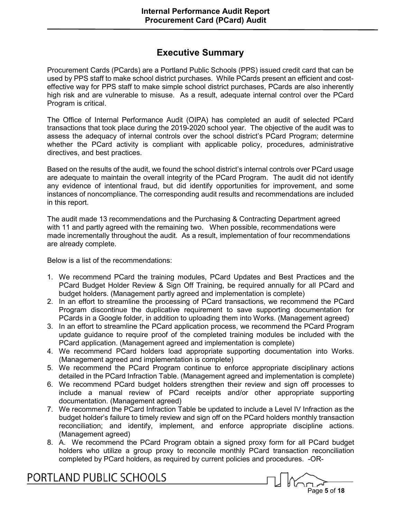## **Executive Summary**

Procurement Cards (PCards) are a Portland Public Schools (PPS) issued credit card that can be used by PPS staff to make school district purchases. While PCards present an efficient and costeffective way for PPS staff to make simple school district purchases, PCards are also inherently high risk and are vulnerable to misuse. As a result, adequate internal control over the PCard Program is critical.

The Office of Internal Performance Audit (OIPA) has completed an audit of selected PCard transactions that took place during the 2019-2020 school year. The objective of the audit was to assess the adequacy of internal controls over the school district's PCard Program; determine whether the PCard activity is compliant with applicable policy, procedures, administrative directives, and best practices.

Based on the results of the audit, we found the school district's internal controls over PCard usage are adequate to maintain the overall integrity of the PCard Program. The audit did not identify any evidence of intentional fraud, but did identify opportunities for improvement, and some instances of noncompliance. The corresponding audit results and recommendations are included in this report.

The audit made 13 recommendations and the Purchasing & Contracting Department agreed with 11 and partly agreed with the remaining two. When possible, recommendations were made incrementally throughout the audit. As a result, implementation of four recommendations are already complete.

Below is a list of the recommendations:

- 1. We recommend PCard the training modules, PCard Updates and Best Practices and the PCard Budget Holder Review & Sign Off Training, be required annually for all PCard and budget holders. (Management partly agreed and implementation is complete)
- 2. In an effort to streamline the processing of PCard transactions, we recommend the PCard Program discontinue the duplicative requirement to save supporting documentation for PCards in a Google folder, in addition to uploading them into Works. (Management agreed)
- 3. In an effort to streamline the PCard application process, we recommend the PCard Program update guidance to require proof of the completed training modules be included with the PCard application. (Management agreed and implementation is complete)
- 4. We recommend PCard holders load appropriate supporting documentation into Works. (Management agreed and implementation is complete)
- 5. We recommend the PCard Program continue to enforce appropriate disciplinary actions detailed in the PCard Infraction Table. (Management agreed and implementation is complete)
- 6. We recommend PCard budget holders strengthen their review and sign off processes to include a manual review of PCard receipts and/or other appropriate supporting documentation. (Management agreed)
- 7. We recommend the PCard Infraction Table be updated to include a Level IV Infraction as the budget holder's failure to timely review and sign off on the PCard holders monthly transaction reconciliation; and identify, implement, and enforce appropriate discipline actions. (Management agreed)
- 8. A. We recommend the PCard Program obtain a signed proxy form for all PCard budget holders who utilize a group proxy to reconcile monthly PCard transaction reconciliation completed by PCard holders, as required by current policies and procedures. -OR-

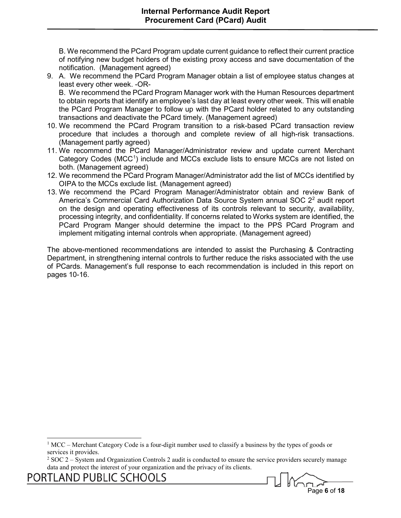B. We recommend the PCard Program update current guidance to reflect their current practice of notifying new budget holders of the existing proxy access and save documentation of the notification. (Management agreed)

- 9. A. We recommend the PCard Program Manager obtain a list of employee status changes at least every other week. -OR-B. We recommend the PCard Program Manager work with the Human Resources department to obtain reports that identify an employee's last day at least every other week. This will enable the PCard Program Manager to follow up with the PCard holder related to any outstanding transactions and deactivate the PCard timely. (Management agreed)
- 10. We recommend the PCard Program transition to a risk-based PCard transaction review procedure that includes a thorough and complete review of all high-risk transactions. (Management partly agreed)
- 11. We recommend the PCard Manager/Administrator review and update current Merchant Category Codes (MCC<sup>[1](#page-5-0)</sup>) include and MCCs exclude lists to ensure MCCs are not listed on both. (Management agreed)
- 12. We recommend the PCard Program Manager/Administrator add the list of MCCs identified by OIPA to the MCCs exclude list. (Management agreed)
- 13. We recommend the PCard Program Manager/Administrator obtain and review Bank of America's Commercial Card Authorization Data Source System annual SOC [2](#page-5-1)<sup>2</sup> audit report on the design and operating effectiveness of its controls relevant to security, availability, processing integrity, and confidentiality. If concerns related to Works system are identified, the PCard Program Manger should determine the impact to the PPS PCard Program and implement mitigating internal controls when appropriate. (Management agreed)

The above-mentioned recommendations are intended to assist the Purchasing & Contracting Department, in strengthening internal controls to further reduce the risks associated with the use of PCards. Management's full response to each recommendation is included in this report on pages 10-16.



 $1 \text{MCC}$  – Merchant Category Code is a four-digit number used to classify a business by the types of goods or services it provides.

<span id="page-5-1"></span><span id="page-5-0"></span> $2$  SOC 2 – System and Organization Controls 2 audit is conducted to ensure the service providers securely manage data and protect the interest of your organization and the privacy of its clients.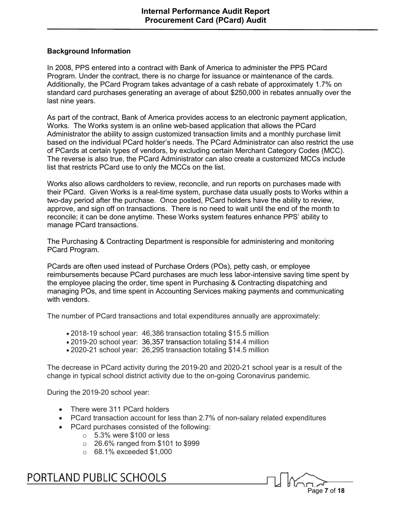#### **Background Information**

In 2008, PPS entered into a contract with Bank of America to administer the PPS PCard Program. Under the contract, there is no charge for issuance or maintenance of the cards. Additionally, the PCard Program takes advantage of a cash rebate of approximately 1.7% on standard card purchases generating an average of about \$250,000 in rebates annually over the last nine years.

As part of the contract, Bank of America provides access to an electronic payment application, Works. The Works system is an online web-based application that allows the PCard Administrator the ability to assign customized transaction limits and a monthly purchase limit based on the individual PCard holder's needs. The PCard Administrator can also restrict the use of PCards at certain types of vendors, by excluding certain Merchant Category Codes (MCC). The reverse is also true, the PCard Administrator can also create a customized MCCs include list that restricts PCard use to only the MCCs on the list.

Works also allows cardholders to review, reconcile, and run reports on purchases made with their PCard. Given Works is a real-time system, purchase data usually posts to Works within a two-day period after the purchase. Once posted, PCard holders have the ability to review, approve, and sign off on transactions. There is no need to wait until the end of the month to reconcile; it can be done anytime. These Works system features enhance PPS' ability to manage PCard transactions.

The Purchasing & Contracting Department is responsible for administering and monitoring PCard Program.

PCards are often used instead of Purchase Orders (POs), petty cash, or employee reimbursements because PCard purchases are much less labor-intensive saving time spent by the employee placing the order, time spent in Purchasing & Contracting dispatching and managing POs, and time spent in Accounting Services making payments and communicating with vendors.

The number of PCard transactions and total expenditures annually are approximately:

- 2018-19 school year: 46,386 transaction totaling \$15.5 million
- 2019-20 school year: 36,357 transaction totaling \$14.4 million
- 2020-21 school year: 26,295 transaction totaling \$14.5 million

The decrease in PCard activity during the 2019-20 and 2020-21 school year is a result of the change in typical school district activity due to the on-going Coronavirus pandemic.

During the 2019-20 school year:

- There were 311 PCard holders
- PCard transaction account for less than 2.7% of non-salary related expenditures
- PCard purchases consisted of the following:
	- $\circ$  5.3% were \$100 or less
	- $\circ$  26.6% ranged from \$101 to \$999
	- o 68.1% exceeded \$1,000

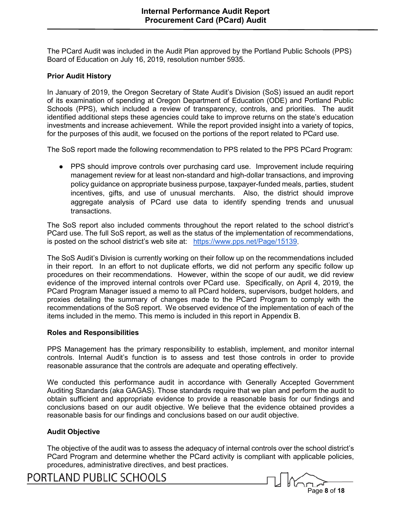The PCard Audit was included in the Audit Plan approved by the Portland Public Schools (PPS) Board of Education on July 16, 2019, resolution number 5935.

### **Prior Audit History**

In January of 2019, the Oregon Secretary of State Audit's Division (SoS) issued an audit report of its examination of spending at Oregon Department of Education (ODE) and Portland Public Schools (PPS), which included a review of transparency, controls, and priorities. The audit identified additional steps these agencies could take to improve returns on the state's education investments and increase achievement. While the report provided insight into a variety of topics, for the purposes of this audit, we focused on the portions of the report related to PCard use.

The SoS report made the following recommendation to PPS related to the PPS PCard Program:

● PPS should improve controls over purchasing card use. Improvement include requiring management review for at least non-standard and high-dollar transactions, and improving policy guidance on appropriate business purpose, taxpayer-funded meals, parties, student incentives, gifts, and use of unusual merchants. Also, the district should improve aggregate analysis of PCard use data to identify spending trends and unusual transactions.

The SoS report also included comments throughout the report related to the school district's PCard use. The full SoS report, as well as the status of the implementation of recommendations, is posted on the school district's web site at: [https://www.pps.net/Page/15139.](https://www.pps.net/Page/15139)

The SoS Audit's Division is currently working on their follow up on the recommendations included in their report. In an effort to not duplicate efforts, we did not perform any specific follow up procedures on their recommendations. However, within the scope of our audit, we did review evidence of the improved internal controls over PCard use. Specifically, on April 4, 2019, the PCard Program Manager issued a memo to all PCard holders, supervisors, budget holders, and proxies detailing the summary of changes made to the PCard Program to comply with the recommendations of the SoS report. We observed evidence of the implementation of each of the items included in the memo. This memo is included in this report in Appendix B.

#### **Roles and Responsibilities**

PPS Management has the primary responsibility to establish, implement, and monitor internal controls. Internal Audit's function is to assess and test those controls in order to provide reasonable assurance that the controls are adequate and operating effectively.

We conducted this performance audit in accordance with Generally Accepted Government Auditing Standards (aka GAGAS). Those standards require that we plan and perform the audit to obtain sufficient and appropriate evidence to provide a reasonable basis for our findings and conclusions based on our audit objective. We believe that the evidence obtained provides a reasonable basis for our findings and conclusions based on our audit objective.

#### **Audit Objective**

The objective of the audit was to assess the adequacy of internal controls over the school district's PCard Program and determine whether the PCard activity is compliant with applicable policies, procedures, administrative directives, and best practices.

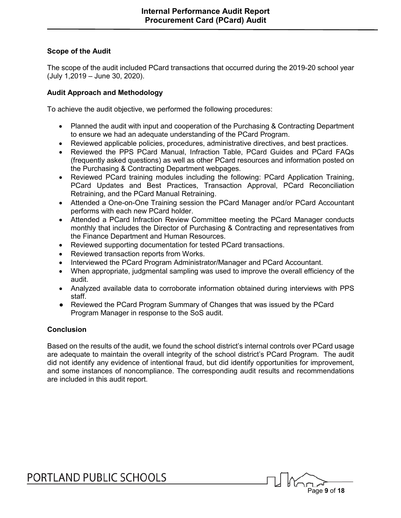### **Scope of the Audit**

The scope of the audit included PCard transactions that occurred during the 2019-20 school year (July 1,2019 – June 30, 2020).

#### **Audit Approach and Methodology**

To achieve the audit objective, we performed the following procedures:

- Planned the audit with input and cooperation of the Purchasing & Contracting Department to ensure we had an adequate understanding of the PCard Program.
- Reviewed applicable policies, procedures, administrative directives, and best practices.
- Reviewed the PPS PCard Manual, Infraction Table, PCard Guides and PCard FAQs (frequently asked questions) as well as other PCard resources and information posted on the Purchasing & Contracting Department webpages.
- Reviewed PCard training modules including the following: PCard Application Training, PCard Updates and Best Practices, Transaction Approval, PCard Reconciliation Retraining, and the PCard Manual Retraining.
- Attended a One-on-One Training session the PCard Manager and/or PCard Accountant performs with each new PCard holder.
- Attended a PCard Infraction Review Committee meeting the PCard Manager conducts monthly that includes the Director of Purchasing & Contracting and representatives from the Finance Department and Human Resources.
- Reviewed supporting documentation for tested PCard transactions.
- Reviewed transaction reports from Works.
- Interviewed the PCard Program Administrator/Manager and PCard Accountant.
- When appropriate, judgmental sampling was used to improve the overall efficiency of the audit.
- Analyzed available data to corroborate information obtained during interviews with PPS staff.
- Reviewed the PCard Program Summary of Changes that was issued by the PCard Program Manager in response to the SoS audit.

### **Conclusion**

Based on the results of the audit, we found the school district's internal controls over PCard usage are adequate to maintain the overall integrity of the school district's PCard Program. The audit did not identify any evidence of intentional fraud, but did identify opportunities for improvement, and some instances of noncompliance. The corresponding audit results and recommendations are included in this audit report.

Page **9** of **18**

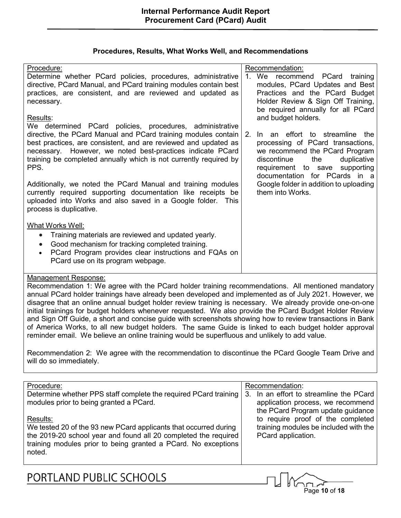|  | Procedures, Results, What Works Well, and Recommendations |
|--|-----------------------------------------------------------|
|--|-----------------------------------------------------------|

| Procedure:                                                                                                                    | Recommendation:                                                     |
|-------------------------------------------------------------------------------------------------------------------------------|---------------------------------------------------------------------|
| Determine whether PCard policies, procedures, administrative                                                                  | 1. We recommend PCard training                                      |
| directive, PCard Manual, and PCard training modules contain best                                                              | modules, PCard Updates and Best                                     |
| practices, are consistent, and are reviewed and updated as                                                                    | Practices and the PCard Budget                                      |
| necessary.                                                                                                                    | Holder Review & Sign Off Training,                                  |
|                                                                                                                               | be required annually for all PCard                                  |
| <u>Results:</u>                                                                                                               | and budget holders.                                                 |
| We determined PCard policies, procedures, administrative                                                                      |                                                                     |
| directive, the PCard Manual and PCard training modules contain                                                                | In an effort to streamline the<br>2.                                |
| best practices, are consistent, and are reviewed and updated as<br>necessary. However, we noted best-practices indicate PCard | processing of PCard transactions,<br>we recommend the PCard Program |
| training be completed annually which is not currently required by                                                             | discontinue<br>duplicative<br>the                                   |
| PPS.                                                                                                                          | requirement to save supporting                                      |
|                                                                                                                               | documentation for PCards in a                                       |
| Additionally, we noted the PCard Manual and training modules                                                                  | Google folder in addition to uploading                              |
| currently required supporting documentation like receipts be                                                                  | them into Works.                                                    |
| uploaded into Works and also saved in a Google folder. This                                                                   |                                                                     |
| process is duplicative.                                                                                                       |                                                                     |
|                                                                                                                               |                                                                     |
| What Works Well:                                                                                                              |                                                                     |
| Training materials are reviewed and updated yearly.<br>$\bullet$                                                              |                                                                     |
| Good mechanism for tracking completed training.<br>$\bullet$                                                                  |                                                                     |
| PCard Program provides clear instructions and FQAs on<br>$\bullet$                                                            |                                                                     |
| PCard use on its program webpage.                                                                                             |                                                                     |
|                                                                                                                               |                                                                     |

Recommendation 1: We agree with the PCard holder training recommendations. All mentioned mandatory annual PCard holder trainings have already been developed and implemented as of July 2021. However, we disagree that an online annual budget holder review training is necessary. We already provide one-on-one initial trainings for budget holders whenever requested. We also provide the PCard Budget Holder Review and Sign Off Guide, a short and concise guide with screenshots showing how to review transactions in Bank of America Works, to all new budget holders. The same Guide is linked to each budget holder approval reminder email. We believe an online training would be superfluous and unlikely to add value.

Recommendation 2: We agree with the recommendation to discontinue the PCard Google Team Drive and will do so immediately.

| Procedure:                                                                                                                                                                                                                  | Recommendation:                                                                                                      |
|-----------------------------------------------------------------------------------------------------------------------------------------------------------------------------------------------------------------------------|----------------------------------------------------------------------------------------------------------------------|
| Determine whether PPS staff complete the required PCard training<br>modules prior to being granted a PCard.                                                                                                                 | In an effort to streamline the PCard<br>3.<br>application process, we recommend<br>the PCard Program update guidance |
| Results:<br>We tested 20 of the 93 new PCard applicants that occurred during<br>the 2019-20 school year and found all 20 completed the required<br>training modules prior to being granted a PCard. No exceptions<br>noted. | to require proof of the completed<br>training modules be included with the<br>PCard application.                     |

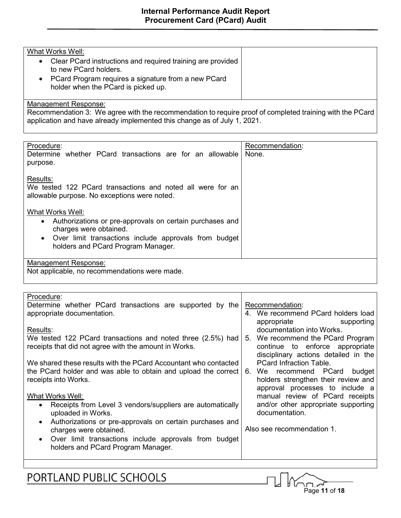## What Works Well:

- Clear PCard instructions and required training are provided to new PCard holders.
- PCard Program requires a signature from a new PCard holder when the PCard is picked up.

### Management Response:

Recommendation 3: We agree with the recommendation to require proof of completed training with the PCard application and have already implemented this change as of July 1, 2021.

| Procedure:                                                 | Recommendation: |
|------------------------------------------------------------|-----------------|
| Determine whether PCard transactions are for an allowable  | None.           |
| purpose.                                                   |                 |
|                                                            |                 |
| Results:                                                   |                 |
| We tested 122 PCard transactions and noted all were for an |                 |
| allowable purpose. No exceptions were noted.               |                 |
|                                                            |                 |
| What Works Well:                                           |                 |
| Authorizations or pre-approvals on certain purchases and   |                 |
| charges were obtained.                                     |                 |
| Over limit transactions include approvals from budget      |                 |
| holders and PCard Program Manager.                         |                 |
|                                                            |                 |
| <b>Management Response:</b>                                |                 |
| Not applicable, no recommendations were made.              |                 |
|                                                            |                 |
|                                                            |                 |

| Procedure:                                                             |                                      |
|------------------------------------------------------------------------|--------------------------------------|
| Determine whether PCard transactions are supported by the              | Recommendation:                      |
| appropriate documentation.                                             | 4. We recommend PCard holders load   |
|                                                                        | appropriate<br>supporting            |
| Results:                                                               | documentation into Works.            |
| We tested 122 PCard transactions and noted three (2.5%) had            | 5. We recommend the PCard Program    |
| receipts that did not agree with the amount in Works.                  | continue to enforce appropriate      |
|                                                                        |                                      |
|                                                                        | disciplinary actions detailed in the |
| We shared these results with the PCard Accountant who contacted        | <b>PCard Infraction Table.</b>       |
| the PCard holder and was able to obtain and upload the correct         | We recommend PCard<br>budget<br>6.   |
| receipts into Works.                                                   | holders strengthen their review and  |
|                                                                        | approval processes to include a      |
| What Works Well:                                                       | manual review of PCard receipts      |
| Receipts from Level 3 vendors/suppliers are automatically<br>$\bullet$ | and/or other appropriate supporting  |
| uploaded in Works.                                                     | documentation.                       |
| Authorizations or pre-approvals on certain purchases and<br>$\bullet$  |                                      |
| charges were obtained.                                                 | Also see recommendation 1.           |
| Over limit transactions include approvals from budget<br>$\bullet$     |                                      |
| holders and PCard Program Manager.                                     |                                      |
|                                                                        |                                      |
|                                                                        |                                      |

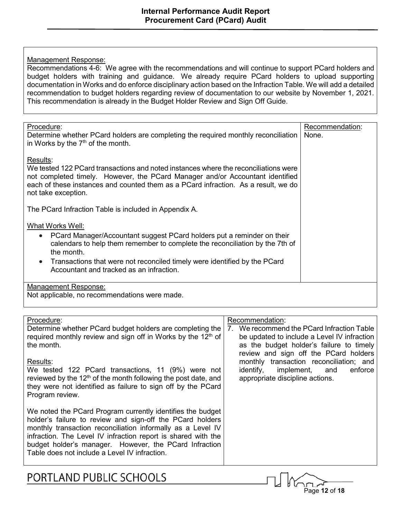Recommendations 4-6: We agree with the recommendations and will continue to support PCard holders and budget holders with training and guidance. We already require PCard holders to upload supporting documentation in Works and do enforce disciplinary action based on the Infraction Table. We will add a detailed recommendation to budget holders regarding review of documentation to our website by November 1, 2021. This recommendation is already in the Budget Holder Review and Sign Off Guide.

| Procedure:                                                                             | Recommendation: |
|----------------------------------------------------------------------------------------|-----------------|
| Determine whether PCard holders are completing the required monthly reconciliation     | None.           |
|                                                                                        |                 |
| in Works by the $7th$ of the month.                                                    |                 |
|                                                                                        |                 |
| Results:                                                                               |                 |
| We tested 122 PCard transactions and noted instances where the reconciliations were    |                 |
|                                                                                        |                 |
| not completed timely. However, the PCard Manager and/or Accountant identified          |                 |
| each of these instances and counted them as a PCard infraction. As a result, we do     |                 |
| not take exception.                                                                    |                 |
|                                                                                        |                 |
|                                                                                        |                 |
| The PCard Infraction Table is included in Appendix A.                                  |                 |
|                                                                                        |                 |
| What Works Well:                                                                       |                 |
|                                                                                        |                 |
| PCard Manager/Accountant suggest PCard holders put a reminder on their<br>$\bullet$    |                 |
| calendars to help them remember to complete the reconciliation by the 7th of           |                 |
| the month.                                                                             |                 |
|                                                                                        |                 |
| Transactions that were not reconciled timely were identified by the PCard<br>$\bullet$ |                 |
| Accountant and tracked as an infraction.                                               |                 |
|                                                                                        |                 |
| <u>Management Response:</u>                                                            |                 |
|                                                                                        |                 |
| Not applicable, no recommendations were made.                                          |                 |
|                                                                                        |                 |

| Procedure:<br>Determine whether PCard budget holders are completing the<br>required monthly review and sign off in Works by the 12 <sup>th</sup> of<br>the month.                                                                                                                                                                                                  | Recommendation:<br>7. We recommend the PCard Infraction Table<br>be updated to include a Level IV infraction<br>as the budget holder's failure to timely<br>review and sign off the PCard holders |
|--------------------------------------------------------------------------------------------------------------------------------------------------------------------------------------------------------------------------------------------------------------------------------------------------------------------------------------------------------------------|---------------------------------------------------------------------------------------------------------------------------------------------------------------------------------------------------|
| Results:<br>We tested 122 PCard transactions, 11 (9%) were not<br>reviewed by the 12 <sup>th</sup> of the month following the post date, and<br>they were not identified as failure to sign off by the PCard<br>Program review.                                                                                                                                    | monthly transaction reconciliation; and<br>implement, and<br>identify,<br>enforce<br>appropriate discipline actions.                                                                              |
| We noted the PCard Program currently identifies the budget<br>holder's failure to review and sign-off the PCard holders<br>monthly transaction reconciliation informally as a Level IV<br>infraction. The Level IV infraction report is shared with the<br>budget holder's manager. However, the PCard Infraction<br>Table does not include a Level IV infraction. |                                                                                                                                                                                                   |

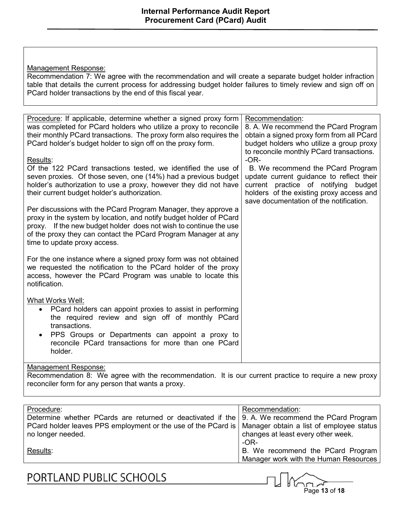Recommendation 7: We agree with the recommendation and will create a separate budget holder infraction table that details the current process for addressing budget holder failures to timely review and sign off on PCard holder transactions by the end of this fiscal year.

| Procedure: If applicable, determine whether a signed proxy form<br>was completed for PCard holders who utilize a proxy to reconcile<br>their monthly PCard transactions. The proxy form also requires the<br>PCard holder's budget holder to sign off on the proxy form.                                    | Recommendation:<br>8. A. We recommend the PCard Program<br>obtain a signed proxy form from all PCard<br>budget holders who utilize a group proxy                                                                                                                   |  |
|-------------------------------------------------------------------------------------------------------------------------------------------------------------------------------------------------------------------------------------------------------------------------------------------------------------|--------------------------------------------------------------------------------------------------------------------------------------------------------------------------------------------------------------------------------------------------------------------|--|
| Results:<br>Of the 122 PCard transactions tested, we identified the use of<br>seven proxies. Of those seven, one (14%) had a previous budget<br>holder's authorization to use a proxy, however they did not have<br>their current budget holder's authorization.                                            | to reconcile monthly PCard transactions.<br>$-OR-$<br>B. We recommend the PCard Program<br>update current guidance to reflect their<br>current practice of notifying budget<br>holders of the existing proxy access and<br>save documentation of the notification. |  |
| Per discussions with the PCard Program Manager, they approve a<br>proxy in the system by location, and notify budget holder of PCard<br>proxy. If the new budget holder does not wish to continue the use<br>of the proxy they can contact the PCard Program Manager at any<br>time to update proxy access. |                                                                                                                                                                                                                                                                    |  |
| For the one instance where a signed proxy form was not obtained<br>we requested the notification to the PCard holder of the proxy<br>access, however the PCard Program was unable to locate this<br>notification.                                                                                           |                                                                                                                                                                                                                                                                    |  |
| What Works Well:<br>PCard holders can appoint proxies to assist in performing<br>$\bullet$<br>the required review and sign off of monthly PCard<br>transactions.<br>PPS Groups or Departments can appoint a proxy to<br>reconcile PCard transactions for more than one PCard<br>holder.                     |                                                                                                                                                                                                                                                                    |  |
| <b>Management Response:</b><br>Recommendation 8: We agree with the recommendation. It is our current practice to require a new proxy<br>reconciler form for any person that wants a proxy.                                                                                                                  |                                                                                                                                                                                                                                                                    |  |
|                                                                                                                                                                                                                                                                                                             |                                                                                                                                                                                                                                                                    |  |

| Recommendation:                                                                                          |  |
|----------------------------------------------------------------------------------------------------------|--|
| Determine whether PCards are returned or deactivated if the $\vert$ 9. A. We recommend the PCard Program |  |
| PCard holder leaves PPS employment or the use of the PCard is   Manager obtain a list of employee status |  |
| changes at least every other week.                                                                       |  |
| -OR-                                                                                                     |  |
| B. We recommend the PCard Program                                                                        |  |
| Manager work with the Human Resources                                                                    |  |
|                                                                                                          |  |

PORTLAND PUBLIC SCHOOLS

Page **13** of **18**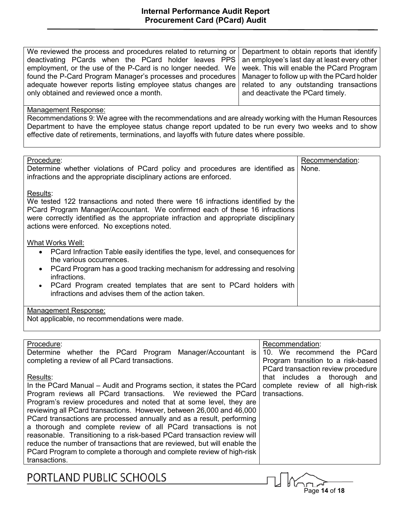| We reviewed the process and procedures related to returning or Department to obtain reports that identify |                                  |
|-----------------------------------------------------------------------------------------------------------|----------------------------------|
| deactivating PCards when the PCard holder leaves PPS an employee's last day at least every other          |                                  |
| employment, or the use of the P-Card is no longer needed. We week. This will enable the PCard Program     |                                  |
| found the P-Card Program Manager's processes and procedures   Manager to follow up with the PCard holder  |                                  |
| adequate however reports listing employee status changes are related to any outstanding transactions      |                                  |
| only obtained and reviewed once a month.                                                                  | and deactivate the PCard timely. |

Recommendations 9: We agree with the recommendations and are already working with the Human Resources Department to have the employee status change report updated to be run every two weeks and to show effective date of retirements, terminations, and layoffs with future dates where possible.

| Procedure:<br>Determine whether violations of PCard policy and procedures are identified as<br>infractions and the appropriate disciplinary actions are enforced.                                                                                                                                                                                                       | Recommendation:<br>None. |
|-------------------------------------------------------------------------------------------------------------------------------------------------------------------------------------------------------------------------------------------------------------------------------------------------------------------------------------------------------------------------|--------------------------|
| Results:<br>We tested 122 transactions and noted there were 16 infractions identified by the<br>PCard Program Manager/Accountant. We confirmed each of these 16 infractions<br>were correctly identified as the appropriate infraction and appropriate disciplinary<br>actions were enforced. No exceptions noted.                                                      |                          |
| What Works Well:<br>• PCard Infraction Table easily identifies the type, level, and consequences for<br>the various occurrences.<br>PCard Program has a good tracking mechanism for addressing and resolving<br>$\bullet$<br>infractions.<br>• PCard Program created templates that are sent to PCard holders with<br>infractions and advises them of the action taken. |                          |
| Management Response:<br>Not applicable, no recommendations were made.                                                                                                                                                                                                                                                                                                   |                          |

#### Procedure:

Determine whether the PCard Program Manager/Accountant is completing a review of all PCard transactions.

#### Results:

In the PCard Manual – Audit and Programs section, it states the PCard Program reviews all PCard transactions. We reviewed the PCard Program's review procedures and noted that at some level, they are reviewing all PCard transactions. However, between 26,000 and 46,000 PCard transactions are processed annually and as a result, performing a thorough and complete review of all PCard transactions is not reasonable. Transitioning to a risk-based PCard transaction review will reduce the number of transactions that are reviewed, but will enable the PCard Program to complete a thorough and complete review of high-risk transactions.

### Recommendation:

10. We recommend the PCard Program transition to a risk-based PCard transaction review procedure that includes a thorough and complete review of all high-risk transactions.

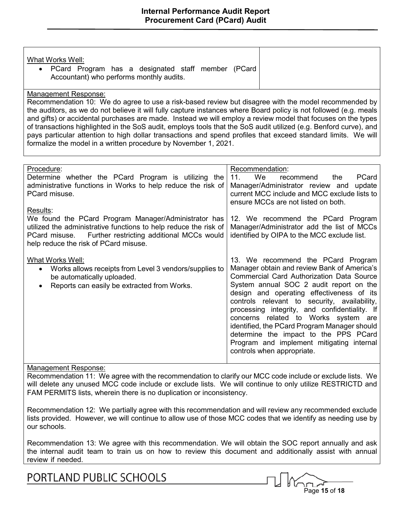|--|

Recommendation 10: We do agree to use a risk-based review but disagree with the model recommended by the auditors, as we do not believe it will fully capture instances where Board policy is not followed (e.g. meals and gifts) or accidental purchases are made. Instead we will employ a review model that focuses on the types of transactions highlighted in the SoS audit, employs tools that the SoS audit utilized (e.g. Benford curve), and pays particular attention to high dollar transactions and spend profiles that exceed standard limits. We will formalize the model in a written procedure by November 1, 2021.

| Procedure:<br>Determine whether the PCard Program is utilizing the<br>administrative functions in Works to help reduce the risk of<br>PCard misuse.<br>Results:                                                              | Recommendation:<br><b>We</b><br>11.<br>PCard<br>the<br>recommend<br>Manager/Administrator review and<br>update<br>current MCC include and MCC exclude lists to<br>ensure MCCs are not listed on both.                                                                                                                                                                                                                                                                                                                                      |
|------------------------------------------------------------------------------------------------------------------------------------------------------------------------------------------------------------------------------|--------------------------------------------------------------------------------------------------------------------------------------------------------------------------------------------------------------------------------------------------------------------------------------------------------------------------------------------------------------------------------------------------------------------------------------------------------------------------------------------------------------------------------------------|
| We found the PCard Program Manager/Administrator has<br>utilized the administrative functions to help reduce the risk of<br>PCard misuse. Further restricting additional MCCs would<br>help reduce the risk of PCard misuse. | 12. We recommend the PCard Program<br>Manager/Administrator add the list of MCCs<br>identified by OIPA to the MCC exclude list.                                                                                                                                                                                                                                                                                                                                                                                                            |
| What Works Well:<br>Works allows receipts from Level 3 vendors/supplies to<br>$\bullet$<br>be automatically uploaded.<br>Reports can easily be extracted from Works.<br>$\bullet$                                            | 13. We recommend the PCard Program<br>Manager obtain and review Bank of America's<br><b>Commercial Card Authorization Data Source</b><br>System annual SOC 2 audit report on the<br>design and operating effectiveness of its<br>controls relevant to security, availability,<br>processing integrity, and confidentiality. If<br>concerns related to Works system are<br>identified, the PCard Program Manager should<br>determine the impact to the PPS PCard<br>Program and implement mitigating internal<br>controls when appropriate. |

#### Management Response:

Recommendation 11: We agree with the recommendation to clarify our MCC code include or exclude lists. We will delete any unused MCC code include or exclude lists. We will continue to only utilize RESTRICTD and FAM PERMITS lists, wherein there is no duplication or inconsistency.

Recommendation 12: We partially agree with this recommendation and will review any recommended exclude lists provided. However, we will continue to allow use of those MCC codes that we identify as needing use by our schools.

Recommendation 13: We agree with this recommendation. We will obtain the SOC report annually and ask the internal audit team to train us on how to review this document and additionally assist with annual review if needed.

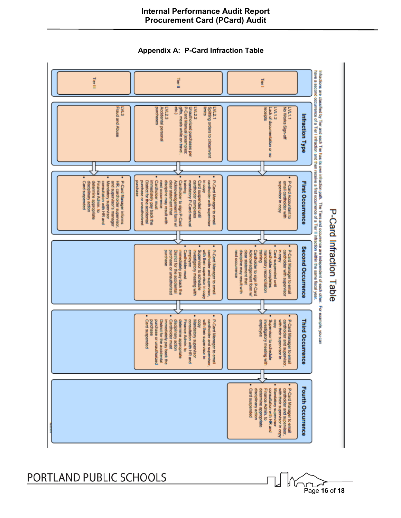

## **Internal Performance Audit Report Procurement Card (PCard) Audit**

**Appendix A: P-Card Infraction Table**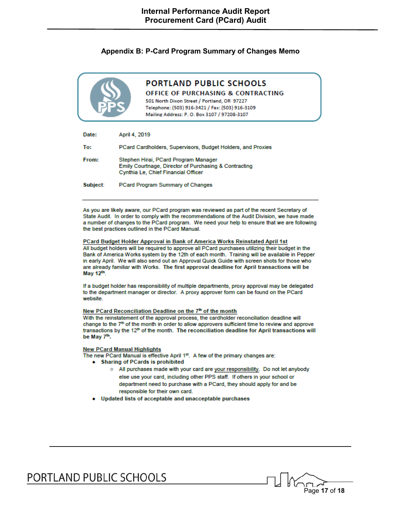#### **Appendix B: P-Card Program Summary of Changes Memo**



## **PORTLAND PUBLIC SCHOOLS**

#### **OFFICE OF PURCHASING & CONTRACTING**

501 North Dixon Street / Portland, OR 97227 Telephone: (503) 916-3421 / Fax: (503) 916-3109 Mailing Address: P. O. Box 3107 / 97208-3107

| Date:    | April 4, 2019                                                                                                                        |
|----------|--------------------------------------------------------------------------------------------------------------------------------------|
| To:      | PCard Cardholders, Supervisors, Budget Holders, and Proxies                                                                          |
| From:    | Stephen Hirai, PCard Program Manager<br>Emily Courtnage, Director of Purchasing & Contracting<br>Cynthia Le, Chief Financial Officer |
| Subject: | <b>PCard Program Summary of Changes</b>                                                                                              |

As you are likely aware, our PCard program was reviewed as part of the recent Secretary of State Audit. In order to comply with the recommendations of the Audit Division, we have made a number of changes to the PCard program. We need your help to ensure that we are following the best practices outlined in the PCard Manual.

#### PCard Budget Holder Approval in Bank of America Works Reinstated April 1st

All budget holders will be required to approve all PCard purchases utilizing their budget in the Bank of America Works system by the 12th of each month. Training will be available in Pepper in early April. We will also send out an Approval Quick Guide with screen shots for those who are already familiar with Works. The first approval deadline for April transactions will be May 12th.

If a budget holder has responsibility of multiple departments, proxy approval may be delegated to the department manager or director. A proxy approver form can be found on the PCard website.

#### New PCard Reconciliation Deadline on the 7th of the month

With the reinstatement of the approval process, the cardholder reconciliation deadline will change to the 7<sup>th</sup> of the month in order to allow approvers sufficient time to review and approve transactions by the 12<sup>th</sup> of the month. The reconciliation deadline for April transactions will be May 7<sup>th</sup>.

#### **New PCard Manual Highlights**

The new PCard Manual is effective April 1st. A few of the primary changes are:

- Sharing of PCards is prohibited
	- o All purchases made with your card are your responsibility. Do not let anybody else use your card, including other PPS staff. If others in your school or department need to purchase with a PCard, they should apply for and be responsible for their own card.

Page **17** of **18**

• Updated lists of acceptable and unacceptable purchases